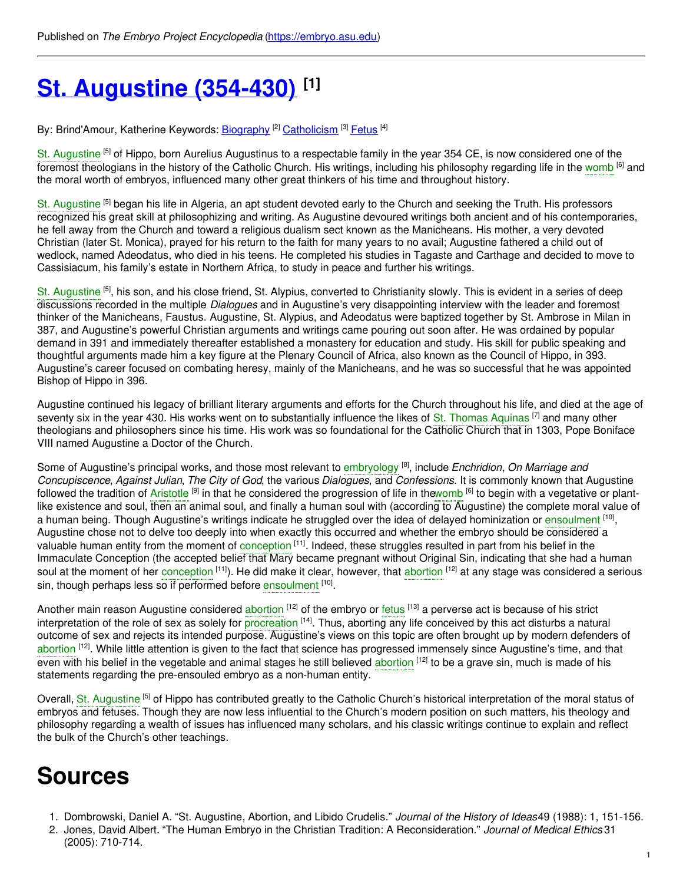# **St. [Augustine](https://embryo.asu.edu/pages/st-augustine-354-430) (354-430) [1]**

By: Brind'Amour, Katherine Keywords: <u>[Biography](https://embryo.asu.edu/keywords/biography) [2] [Catholicism](https://embryo.asu.edu/keywords/catholicism) [3] [Fetus](https://embryo.asu.edu/keywords/fetus)</u> [4]

St. [Augustine](https://embryo.asu.edu/search?text=St.%20Augustine) <sup>[5]</sup> of Hippo, born Aurelius Augustinus to a respectable family in the year 354 CE, is now considered one of the foremost theologians in the history of the Catholic Church. His writings, including his philosophy regarding life in the [womb](https://embryo.asu.edu/search?text=womb) <sup>[6]</sup> and the moral worth of embryos, influenced many other great thinkers of his time and throughout history.

St. [Augustine](https://embryo.asu.edu/search?text=St.%20Augustine) <sup>[5]</sup> began his life in Algeria, an apt student devoted early to the Church and seeking the Truth. His professors recognized his great skill at philosophizing and writing. As Augustine devoured writings both ancient and of his contemporaries, he fell away from the Church and toward a religious dualism sect known as the Manicheans. His mother, a very devoted Christian (later St. Monica), prayed for his return to the faith for many years to no avail; Augustine fathered a child out of wedlock, named Adeodatus, who died in his teens. He completed his studies in Tagaste and Carthage and decided to move to Cassisiacum, his family's estate in Northern Africa, to study in peace and further his writings.

St. [Augustine](https://embryo.asu.edu/search?text=St.%20Augustine) <sup>[5]</sup>, his son, and his close friend, St. Alypius, converted to Christianity slowly. This is evident in a series of deep discussions recorded in the multiple *Dialogues* and in Augustine's very disappointing interview with the leader and foremost thinker of the Manicheans, Faustus. Augustine, St. Alypius, and Adeodatus were baptized together by St. Ambrose in Milan in 387, and Augustine's powerful Christian arguments and writings came pouring out soon after. He was ordained by popular demand in 391 and immediately thereafter established a monastery for education and study. His skill for public speaking and thoughtful arguments made him a key figure at the Plenary Council of Africa, also known as the Council of Hippo, in 393. Augustine's career focused on combating heresy, mainly of the Manicheans, and he was so successful that he was appointed Bishop of Hippo in 396.

Augustine continued his legacy of brilliant literary arguments and efforts for the Church throughout his life, and died at the age of seventy six in the year 430. His works went on to substantially influence the likes of St. Thomas [Aquinas](https://embryo.asu.edu/search?text=St.%20Thomas%20Aquinas) [7] and many other theologians and philosophers since his time. His work was so foundational for the Catholic Church that in 1303, Pope Boniface VIII named Augustine a Doctor of the Church.

Some of Augustine's principal works, and those most relevant to [embryology](https://embryo.asu.edu/search?text=embryology) [8] , include *Enchridion*, *On Marriage and Concupiscence*, *Against Julian*, *The City of God*, the various *Dialogues*, and *Confessions*. It is commonly known that Augustine followed the tradition of [Aristotle](https://embryo.asu.edu/search?text=Aristotle) <sup>[9]</sup> in that he considered the progression of life in th[ewomb](https://embryo.asu.edu/search?text=womb) <sup>[6]</sup> to begin with a vegetative or plantlike existence and soul, then an animal soul, and finally a human soul with (according to Augustine) the complete moral value of a human being. Though Augustine's writings indicate he struggled over the idea of delayed hominization or [ensoulment](https://embryo.asu.edu/search?text=ensoulment) <sup>[10]</sup>, Augustine chose not to delve too deeply into when exactly this occurred and whether the embryo should be considered a valuable human entity from the moment of [conception](https://embryo.asu.edu/search?text=conception) <sup>[11]</sup>. Indeed, these struggles resulted in part from his belief in the Immaculate Conception (the accepted belief that Mary became pregnant without Original Sin, indicating that she had a human soul at the moment of her [conception](https://embryo.asu.edu/search?text=conception) <sup>[11]</sup>). He did make it clear, however, that [abortion](https://embryo.asu.edu/search?text=abortion) <sup>[12]</sup> at any stage was considered a serious sin, though perhaps less so if performed before [ensoulment](https://embryo.asu.edu/search?text=ensoulment) [10].

Another main reason Augustine considered [abortion](https://embryo.asu.edu/search?text=abortion) <sup>[12]</sup> of the embryo or [fetus](https://embryo.asu.edu/search?text=fetus) <sup>[13]</sup> a perverse act is because of his strict interpretation of the role of sex as solely for [procreation](https://embryo.asu.edu/search?text=procreation) <sup>[14]</sup>. Thus, aborting any life conceived by this act disturbs a natural outcome of sex and rejects its intended purpose. Augustine's views on this topic are often brought up by modern defenders of [abortion](https://embryo.asu.edu/search?text=abortion) [12]. While little attention is given to the fact that science has progressed immensely since Augustine's time, and that even with his belief in the vegetable and animal stages he still believed [abortion](https://embryo.asu.edu/search?text=abortion) <sup>[12]</sup> to be a grave sin, much is made of his statements regarding the pre-ensouled embryo as a non-human entity.

Overall, St. [Augustine](https://embryo.asu.edu/search?text=St.%20Augustine) [5] of Hippo has contributed greatly to the Catholic Church's historical interpretation of the moral status of embryos and fetuses. Though they are now less influential to the Church's modern position on such matters, his theology and philosophy regarding a wealth of issues has influenced many scholars, and his classic writings continue to explain and reflect the bulk of the Church's other teachings.

## **Sources**

- 1. Dombrowski, Daniel A. "St. Augustine, Abortion, and Libido Crudelis." *Journal of the History of Ideas*49 (1988): 1, 151-156.
- 2. Jones, David Albert. "The Human Embryo in the Christian Tradition: A Reconsideration." *Journal of Medical Ethics* 31 (2005): 710-714.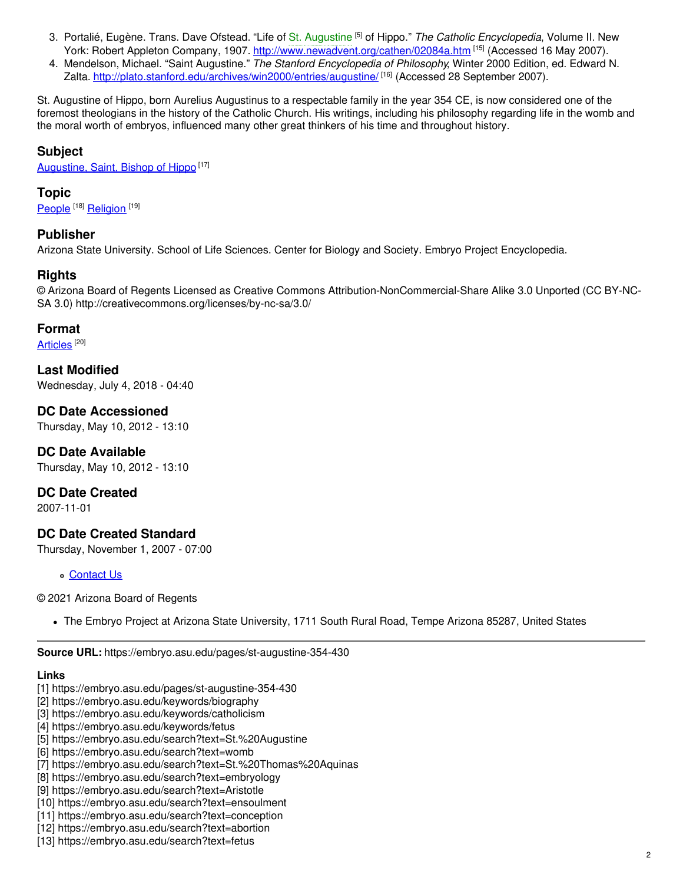- 3. Portalié, Eugène. Trans. Dave Ofstead. "Life of St. [Augustine](https://embryo.asu.edu/search?text=St.%20Augustine) [5] of Hippo." *The Catholic Encyclopedia*, Volume II. New York: Robert Appleton Company, 1907. <http://www.newadvent.org/cathen/02084a.htm> [15] (Accessed 16 May 2007).
- 4. Mendelson, Michael. "Saint Augustine." *The Stanford Encyclopedia of Philosophy*, Winter 2000 Edition, ed. Edward N. Zalta. <u><http://plato.stanford.edu/archives/win2000/entries/augustine/> [16]</u> (Accessed 28 September 2007).

St. Augustine of Hippo, born Aurelius Augustinus to a respectable family in the year 354 CE, is now considered one of the foremost theologians in the history of the Catholic Church. His writings, including his philosophy regarding life in the womb and the moral worth of embryos, influenced many other great thinkers of his time and throughout history.

### **Subject**

[Augustine,](https://embryo.asu.edu/library-congress-subject-headings/augustine-saint-bishop-hippo) Saint, Bishop of Hippo<sup>[17]</sup>

#### **Topic**

[People](https://embryo.asu.edu/topics/people) <sup>[18]</sup> [Religion](https://embryo.asu.edu/topics/religion) <sup>[19]</sup>

#### **Publisher**

Arizona State University. School of Life Sciences. Center for Biology and Society. Embryo Project Encyclopedia.

#### **Rights**

© Arizona Board of Regents Licensed as Creative Commons Attribution-NonCommercial-Share Alike 3.0 Unported (CC BY-NC-SA 3.0) http://creativecommons.org/licenses/by-nc-sa/3.0/

#### **Format**

[Articles](https://embryo.asu.edu/formats/articles)  $^{\left[ 20\right] }$ 

**Last Modified** Wednesday, July 4, 2018 - 04:40

**DC Date Accessioned** Thursday, May 10, 2012 - 13:10

**DC Date Available** Thursday, May 10, 2012 - 13:10

**DC Date Created**

2007-11-01

#### **DC Date Created Standard**

Thursday, November 1, 2007 - 07:00

[Contact](https://embryo.asu.edu/contact) Us

© 2021 Arizona Board of Regents

The Embryo Project at Arizona State University, 1711 South Rural Road, Tempe Arizona 85287, United States

#### **Links**

- [1] https://embryo.asu.edu/pages/st-augustine-354-430
- [2] https://embryo.asu.edu/keywords/biography
- [3] https://embryo.asu.edu/keywords/catholicism
- [4] https://embryo.asu.edu/keywords/fetus
- [5] https://embryo.asu.edu/search?text=St.%20Augustine
- [6] https://embryo.asu.edu/search?text=womb
- [7] https://embryo.asu.edu/search?text=St.%20Thomas%20Aquinas
- [8] https://embryo.asu.edu/search?text=embryology
- [9] https://embryo.asu.edu/search?text=Aristotle
- [10] https://embryo.asu.edu/search?text=ensoulment
- [11] https://embryo.asu.edu/search?text=conception
- [12] https://embryo.asu.edu/search?text=abortion
- [13] https://embryo.asu.edu/search?text=fetus

**Source URL:** https://embryo.asu.edu/pages/st-augustine-354-430